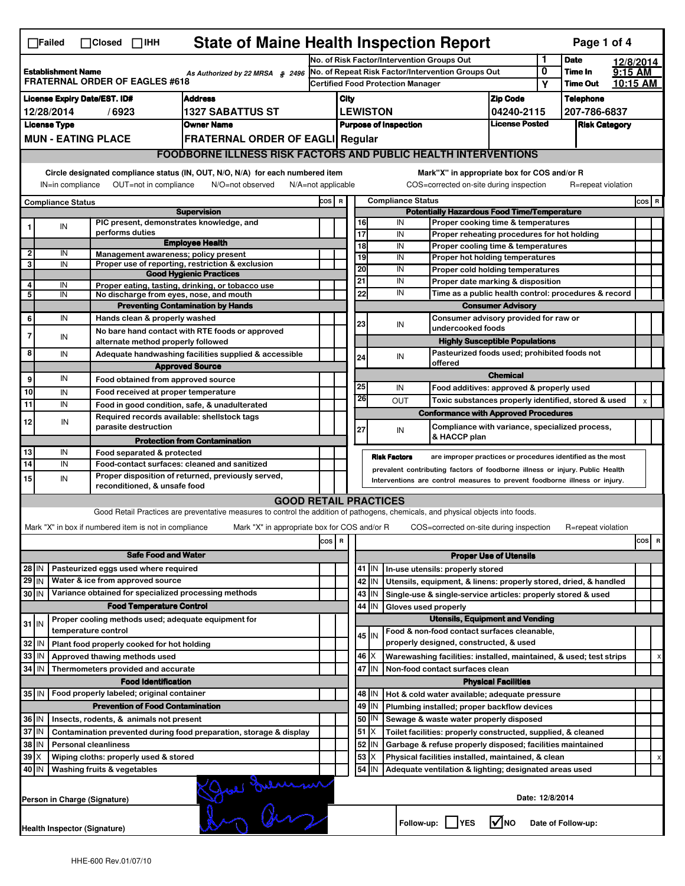|                                                                                                                                                                                                                                                                                           | <b>State of Maine Health Inspection Report</b><br>Page 1 of 4<br>$\Box$ Failed<br>$\Box$ Closed $\Box$ IHH |                                                                                                                                                                                                                    |                                                                                                                                   |       |                                                         |                                                        |                                             |                                                                                                       |                                                                                                 |                            |                                              |                                  |           |       |   |
|-------------------------------------------------------------------------------------------------------------------------------------------------------------------------------------------------------------------------------------------------------------------------------------------|------------------------------------------------------------------------------------------------------------|--------------------------------------------------------------------------------------------------------------------------------------------------------------------------------------------------------------------|-----------------------------------------------------------------------------------------------------------------------------------|-------|---------------------------------------------------------|--------------------------------------------------------|---------------------------------------------|-------------------------------------------------------------------------------------------------------|-------------------------------------------------------------------------------------------------|----------------------------|----------------------------------------------|----------------------------------|-----------|-------|---|
|                                                                                                                                                                                                                                                                                           |                                                                                                            |                                                                                                                                                                                                                    |                                                                                                                                   |       | No. of Risk Factor/Intervention Groups Out              |                                                        |                                             |                                                                                                       |                                                                                                 |                            | 1                                            | <b>Date</b>                      | 12/8/2014 |       |   |
| <b>Establishment Name</b><br>As Authorized by 22 MRSA § 2496<br><b>FRATERNAL ORDER OF EAGLES #618</b>                                                                                                                                                                                     |                                                                                                            |                                                                                                                                                                                                                    |                                                                                                                                   |       | No. of Repeat Risk Factor/Intervention Groups Out       |                                                        |                                             |                                                                                                       |                                                                                                 |                            | 0                                            | Time In                          | $9:15$ AM |       |   |
|                                                                                                                                                                                                                                                                                           |                                                                                                            |                                                                                                                                                                                                                    |                                                                                                                                   |       |                                                         | <b>Certified Food Protection Manager</b>               |                                             |                                                                                                       |                                                                                                 |                            | Υ                                            | <b>Time Out</b>                  | 10:15 AM  |       |   |
|                                                                                                                                                                                                                                                                                           | <b>Address</b><br><b>License Expiry Date/EST. ID#</b>                                                      |                                                                                                                                                                                                                    |                                                                                                                                   |       |                                                         | City                                                   |                                             |                                                                                                       |                                                                                                 | <b>Zip Code</b>            |                                              | <b>Telephone</b><br>207-786-6837 |           |       |   |
| 12/28/2014<br>/6923<br>1327 SABATTUS ST<br><b>Owner Name</b>                                                                                                                                                                                                                              |                                                                                                            |                                                                                                                                                                                                                    |                                                                                                                                   |       |                                                         | <b>LEWISTON</b><br>04240-2115<br><b>License Posted</b> |                                             |                                                                                                       |                                                                                                 |                            | <b>Risk Category</b>                         |                                  |           |       |   |
| <b>License Type</b><br><b>MUN - EATING PLACE</b><br><b>FRATERNAL ORDER OF EAGLI Regular</b>                                                                                                                                                                                               |                                                                                                            |                                                                                                                                                                                                                    |                                                                                                                                   |       | <b>Purpose of Inspection</b>                            |                                                        |                                             |                                                                                                       |                                                                                                 |                            |                                              |                                  |           |       |   |
|                                                                                                                                                                                                                                                                                           | <b>FOODBORNE ILLNESS RISK FACTORS AND PUBLIC HEALTH INTERVENTIONS</b>                                      |                                                                                                                                                                                                                    |                                                                                                                                   |       |                                                         |                                                        |                                             |                                                                                                       |                                                                                                 |                            |                                              |                                  |           |       |   |
|                                                                                                                                                                                                                                                                                           |                                                                                                            |                                                                                                                                                                                                                    |                                                                                                                                   |       |                                                         |                                                        |                                             |                                                                                                       |                                                                                                 |                            |                                              |                                  |           |       |   |
| Circle designated compliance status (IN, OUT, N/O, N/A) for each numbered item<br>Mark"X" in appropriate box for COS and/or R<br>OUT=not in compliance<br>COS=corrected on-site during inspection<br>R=repeat violation<br>IN=in compliance<br>N/O=not observed<br>$N/A = not$ applicable |                                                                                                            |                                                                                                                                                                                                                    |                                                                                                                                   |       |                                                         |                                                        |                                             |                                                                                                       |                                                                                                 |                            |                                              |                                  |           |       |   |
|                                                                                                                                                                                                                                                                                           | <b>Compliance Status</b>                                                                                   |                                                                                                                                                                                                                    |                                                                                                                                   |       | <b>Compliance Status</b><br>cos  <br>$\mathbf R$        |                                                        |                                             |                                                                                                       |                                                                                                 |                            |                                              |                                  |           | COS R |   |
|                                                                                                                                                                                                                                                                                           |                                                                                                            |                                                                                                                                                                                                                    | <b>Supervision</b>                                                                                                                |       | <b>Potentially Hazardous Food Time/Temperature</b>      |                                                        |                                             |                                                                                                       |                                                                                                 |                            |                                              |                                  |           |       |   |
|                                                                                                                                                                                                                                                                                           | IN                                                                                                         | PIC present, demonstrates knowledge, and<br>performs duties                                                                                                                                                        |                                                                                                                                   |       |                                                         |                                                        | 16<br>17                                    | IN<br>IN                                                                                              | Proper cooking time & temperatures                                                              |                            |                                              |                                  |           |       |   |
|                                                                                                                                                                                                                                                                                           |                                                                                                            |                                                                                                                                                                                                                    | <b>Employee Health</b>                                                                                                            |       |                                                         |                                                        | $\overline{18}$                             | Proper reheating procedures for hot holding<br>IN<br>Proper cooling time & temperatures               |                                                                                                 |                            |                                              |                                  |           |       |   |
| $\overline{\mathbf{2}}$                                                                                                                                                                                                                                                                   | IN                                                                                                         | Management awareness; policy present                                                                                                                                                                               |                                                                                                                                   |       |                                                         |                                                        | 19<br>IN<br>Proper hot holding temperatures |                                                                                                       |                                                                                                 |                            |                                              |                                  |           |       |   |
| 3                                                                                                                                                                                                                                                                                         | IN                                                                                                         |                                                                                                                                                                                                                    | Proper use of reporting, restriction & exclusion<br><b>Good Hygienic Practices</b>                                                |       |                                                         |                                                        | 20                                          | IN                                                                                                    | Proper cold holding temperatures                                                                |                            |                                              |                                  |           |       |   |
| 4                                                                                                                                                                                                                                                                                         | IN                                                                                                         |                                                                                                                                                                                                                    | Proper eating, tasting, drinking, or tobacco use                                                                                  |       |                                                         |                                                        | 21                                          | IN                                                                                                    | Proper date marking & disposition                                                               |                            |                                              |                                  |           |       |   |
| 5                                                                                                                                                                                                                                                                                         | IN                                                                                                         | No discharge from eyes, nose, and mouth                                                                                                                                                                            |                                                                                                                                   |       |                                                         |                                                        | 22                                          | IN                                                                                                    | Time as a public health control: procedures & record<br><b>Consumer Advisory</b>                |                            |                                              |                                  |           |       |   |
|                                                                                                                                                                                                                                                                                           | IN                                                                                                         |                                                                                                                                                                                                                    | <b>Preventing Contamination by Hands</b>                                                                                          |       |                                                         |                                                        |                                             |                                                                                                       |                                                                                                 |                            |                                              |                                  |           |       |   |
| 6                                                                                                                                                                                                                                                                                         |                                                                                                            | Hands clean & properly washed                                                                                                                                                                                      | No bare hand contact with RTE foods or approved                                                                                   |       |                                                         |                                                        | 23                                          | IN                                                                                                    | Consumer advisory provided for raw or<br>undercooked foods                                      |                            |                                              |                                  |           |       |   |
| $\overline{7}$                                                                                                                                                                                                                                                                            | IN                                                                                                         | alternate method properly followed                                                                                                                                                                                 |                                                                                                                                   |       |                                                         |                                                        |                                             |                                                                                                       | <b>Highly Susceptible Populations</b>                                                           |                            |                                              |                                  |           |       |   |
| 8                                                                                                                                                                                                                                                                                         | IN                                                                                                         |                                                                                                                                                                                                                    | Adequate handwashing facilities supplied & accessible                                                                             |       |                                                         |                                                        | 24                                          | IN                                                                                                    |                                                                                                 |                            | Pasteurized foods used; prohibited foods not |                                  |           |       |   |
|                                                                                                                                                                                                                                                                                           |                                                                                                            |                                                                                                                                                                                                                    | <b>Approved Source</b>                                                                                                            |       |                                                         |                                                        |                                             |                                                                                                       | offered                                                                                         |                            |                                              |                                  |           |       |   |
| 9                                                                                                                                                                                                                                                                                         | IN                                                                                                         | Food obtained from approved source                                                                                                                                                                                 |                                                                                                                                   |       |                                                         |                                                        | 25                                          | IN                                                                                                    |                                                                                                 | <b>Chemical</b>            |                                              |                                  |           |       |   |
| 10                                                                                                                                                                                                                                                                                        | IN                                                                                                         | Food received at proper temperature                                                                                                                                                                                |                                                                                                                                   |       |                                                         |                                                        | 26                                          | <b>OUT</b>                                                                                            | Food additives: approved & properly used<br>Toxic substances properly identified, stored & used |                            |                                              |                                  |           | x     |   |
| $\overline{11}$                                                                                                                                                                                                                                                                           | IN                                                                                                         |                                                                                                                                                                                                                    | Food in good condition, safe, & unadulterated                                                                                     |       |                                                         |                                                        |                                             |                                                                                                       | <b>Conformance with Approved Procedures</b>                                                     |                            |                                              |                                  |           |       |   |
| 12                                                                                                                                                                                                                                                                                        | IN                                                                                                         | Required records available: shellstock tags<br>parasite destruction                                                                                                                                                |                                                                                                                                   |       |                                                         |                                                        | 27                                          |                                                                                                       | Compliance with variance, specialized process,                                                  |                            |                                              |                                  |           |       |   |
|                                                                                                                                                                                                                                                                                           |                                                                                                            |                                                                                                                                                                                                                    | <b>Protection from Contamination</b>                                                                                              |       |                                                         |                                                        |                                             | IN                                                                                                    | & HACCP plan                                                                                    |                            |                                              |                                  |           |       |   |
| 13                                                                                                                                                                                                                                                                                        | IN                                                                                                         | Food separated & protected                                                                                                                                                                                         |                                                                                                                                   |       |                                                         |                                                        |                                             |                                                                                                       |                                                                                                 |                            |                                              |                                  |           |       |   |
| 14                                                                                                                                                                                                                                                                                        | IN                                                                                                         | <b>Risk Factors</b><br>are improper practices or procedures identified as the most<br>Food-contact surfaces: cleaned and sanitized<br>prevalent contributing factors of foodborne illness or injury. Public Health |                                                                                                                                   |       |                                                         |                                                        |                                             |                                                                                                       |                                                                                                 |                            |                                              |                                  |           |       |   |
| 15                                                                                                                                                                                                                                                                                        | IN                                                                                                         | reconditioned, & unsafe food                                                                                                                                                                                       | Proper disposition of returned, previously served,                                                                                |       |                                                         |                                                        |                                             |                                                                                                       | Interventions are control measures to prevent foodborne illness or injury.                      |                            |                                              |                                  |           |       |   |
|                                                                                                                                                                                                                                                                                           |                                                                                                            |                                                                                                                                                                                                                    | <b>GOOD RETAIL PRACTICES</b>                                                                                                      |       |                                                         |                                                        |                                             |                                                                                                       |                                                                                                 |                            |                                              |                                  |           |       |   |
|                                                                                                                                                                                                                                                                                           |                                                                                                            |                                                                                                                                                                                                                    | Good Retail Practices are preventative measures to control the addition of pathogens, chemicals, and physical objects into foods. |       |                                                         |                                                        |                                             |                                                                                                       |                                                                                                 |                            |                                              |                                  |           |       |   |
|                                                                                                                                                                                                                                                                                           |                                                                                                            | Mark "X" in box if numbered item is not in compliance                                                                                                                                                              | Mark "X" in appropriate box for COS and/or R                                                                                      |       |                                                         |                                                        |                                             |                                                                                                       | COS=corrected on-site during inspection                                                         |                            |                                              | R=repeat violation               |           |       |   |
|                                                                                                                                                                                                                                                                                           |                                                                                                            |                                                                                                                                                                                                                    |                                                                                                                                   | cos R |                                                         |                                                        |                                             |                                                                                                       |                                                                                                 |                            |                                              |                                  |           | cos   | R |
|                                                                                                                                                                                                                                                                                           | <b>Safe Food and Water</b>                                                                                 |                                                                                                                                                                                                                    |                                                                                                                                   |       |                                                         | <b>Proper Use of Utensils</b>                          |                                             |                                                                                                       |                                                                                                 |                            |                                              |                                  |           |       |   |
| $28$ IN                                                                                                                                                                                                                                                                                   |                                                                                                            | Pasteurized eggs used where required                                                                                                                                                                               |                                                                                                                                   |       |                                                         |                                                        | 41<br>IN                                    |                                                                                                       | In-use utensils: properly stored                                                                |                            |                                              |                                  |           |       |   |
| $29$ IN<br>Water & ice from approved source                                                                                                                                                                                                                                               |                                                                                                            |                                                                                                                                                                                                                    |                                                                                                                                   |       |                                                         | 42 IN                                                  |                                             | Utensils, equipment, & linens: properly stored, dried, & handled                                      |                                                                                                 |                            |                                              |                                  |           |       |   |
| Variance obtained for specialized processing methods<br>30 IN                                                                                                                                                                                                                             |                                                                                                            |                                                                                                                                                                                                                    |                                                                                                                                   |       |                                                         | 43 IN                                                  |                                             | Single-use & single-service articles: properly stored & used                                          |                                                                                                 |                            |                                              |                                  |           |       |   |
| <b>Food Temperature Control</b>                                                                                                                                                                                                                                                           |                                                                                                            |                                                                                                                                                                                                                    |                                                                                                                                   |       |                                                         |                                                        | 44<br>IN                                    | Gloves used properly                                                                                  |                                                                                                 |                            |                                              |                                  |           |       |   |
| $31$ IN                                                                                                                                                                                                                                                                                   |                                                                                                            | Proper cooling methods used; adequate equipment for                                                                                                                                                                |                                                                                                                                   |       |                                                         | <b>Utensils, Equipment and Vending</b>                 |                                             |                                                                                                       |                                                                                                 |                            |                                              |                                  |           |       |   |
|                                                                                                                                                                                                                                                                                           |                                                                                                            | temperature control                                                                                                                                                                                                |                                                                                                                                   |       |                                                         |                                                        | $45$ IN                                     |                                                                                                       | Food & non-food contact surfaces cleanable,                                                     |                            |                                              |                                  |           |       |   |
| 32                                                                                                                                                                                                                                                                                        | IN                                                                                                         | Plant food properly cooked for hot holding                                                                                                                                                                         |                                                                                                                                   |       |                                                         |                                                        |                                             |                                                                                                       | properly designed, constructed, & used                                                          |                            |                                              |                                  |           |       |   |
| 33                                                                                                                                                                                                                                                                                        | IN                                                                                                         | Approved thawing methods used                                                                                                                                                                                      |                                                                                                                                   |       |                                                         |                                                        | $46 \times$<br>47 IN                        | Warewashing facilities: installed, maintained, & used; test strips<br>Non-food contact surfaces clean |                                                                                                 |                            |                                              |                                  |           |       |   |
|                                                                                                                                                                                                                                                                                           | 34 IN<br>Thermometers provided and accurate<br><b>Food Identification</b>                                  |                                                                                                                                                                                                                    |                                                                                                                                   |       |                                                         |                                                        |                                             |                                                                                                       |                                                                                                 | <b>Physical Facilities</b> |                                              |                                  |           |       |   |
| 35 IN                                                                                                                                                                                                                                                                                     |                                                                                                            | Food properly labeled; original container                                                                                                                                                                          |                                                                                                                                   |       |                                                         |                                                        | 48   IN                                     |                                                                                                       | Hot & cold water available; adequate pressure                                                   |                            |                                              |                                  |           |       |   |
| <b>Prevention of Food Contamination</b>                                                                                                                                                                                                                                                   |                                                                                                            |                                                                                                                                                                                                                    |                                                                                                                                   |       | 49<br>Plumbing installed; proper backflow devices<br>IN |                                                        |                                             |                                                                                                       |                                                                                                 |                            |                                              |                                  |           |       |   |
| 36 IN<br>Insects, rodents, & animals not present                                                                                                                                                                                                                                          |                                                                                                            |                                                                                                                                                                                                                    |                                                                                                                                   |       |                                                         | 50<br>IN                                               |                                             | Sewage & waste water properly disposed                                                                |                                                                                                 |                            |                                              |                                  |           |       |   |
| 37 IN<br>Contamination prevented during food preparation, storage & display                                                                                                                                                                                                               |                                                                                                            |                                                                                                                                                                                                                    |                                                                                                                                   |       |                                                         |                                                        | 51<br>ΙX                                    |                                                                                                       | Toilet facilities: properly constructed, supplied, & cleaned                                    |                            |                                              |                                  |           |       |   |
| 38<br>IN<br><b>Personal cleanliness</b>                                                                                                                                                                                                                                                   |                                                                                                            |                                                                                                                                                                                                                    |                                                                                                                                   |       |                                                         |                                                        | 52<br>IN                                    |                                                                                                       | Garbage & refuse properly disposed; facilities maintained                                       |                            |                                              |                                  |           |       |   |
| 39<br>ΙX<br>Wiping cloths: properly used & stored                                                                                                                                                                                                                                         |                                                                                                            |                                                                                                                                                                                                                    |                                                                                                                                   |       |                                                         |                                                        | 53<br>X                                     |                                                                                                       | Physical facilities installed, maintained, & clean                                              |                            |                                              |                                  |           |       |   |
| 40 IN                                                                                                                                                                                                                                                                                     |                                                                                                            | Washing fruits & vegetables                                                                                                                                                                                        |                                                                                                                                   |       |                                                         |                                                        | $54$ IN                                     |                                                                                                       | Adequate ventilation & lighting; designated areas used                                          |                            |                                              |                                  |           |       |   |
|                                                                                                                                                                                                                                                                                           | Joe demen<br>Date: 12/8/2014<br>Person in Charge (Signature)                                               |                                                                                                                                                                                                                    |                                                                                                                                   |       |                                                         |                                                        |                                             |                                                                                                       |                                                                                                 |                            |                                              |                                  |           |       |   |
|                                                                                                                                                                                                                                                                                           | Health Inspector (Signature)                                                                               |                                                                                                                                                                                                                    |                                                                                                                                   |       |                                                         |                                                        |                                             |                                                                                                       | Follow-up:     YES                                                                              | $\sqrt{ }$ NO              |                                              | Date of Follow-up:               |           |       |   |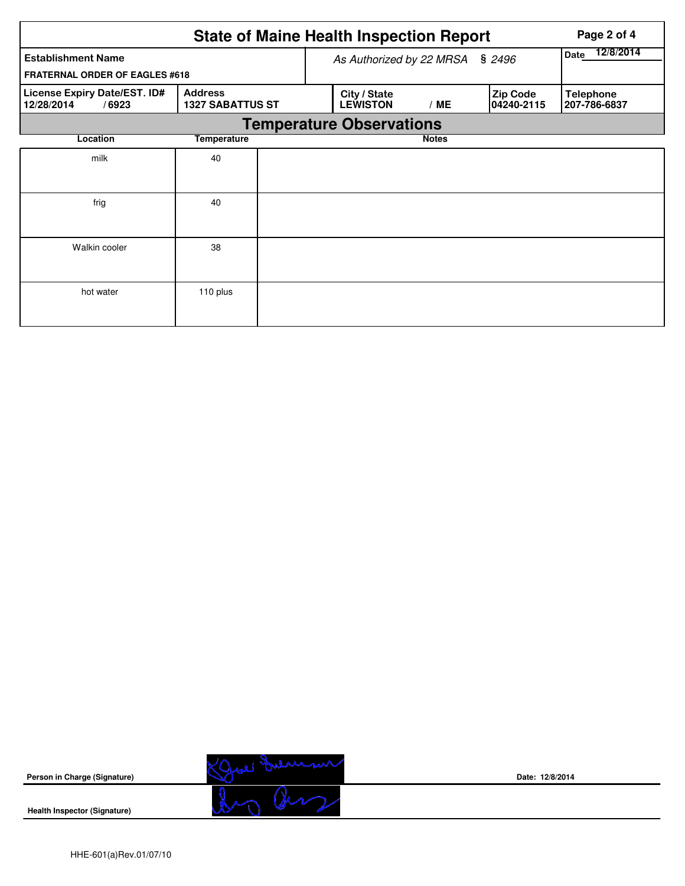|                                                     |                                           |                          | <b>State of Maine Health Inspection Report</b> | Page 2 of 4  |                        |                                  |  |  |  |  |  |  |
|-----------------------------------------------------|-------------------------------------------|--------------------------|------------------------------------------------|--------------|------------------------|----------------------------------|--|--|--|--|--|--|
| <b>Establishment Name</b>                           |                                           | As Authorized by 22 MRSA | 12/8/2014<br>Date                              |              |                        |                                  |  |  |  |  |  |  |
| <b>FRATERNAL ORDER OF EAGLES #618</b>               |                                           |                          |                                                |              |                        |                                  |  |  |  |  |  |  |
| License Expiry Date/EST. ID#<br>12/28/2014<br>/6923 | <b>Address</b><br><b>1327 SABATTUS ST</b> |                          | City / State<br><b>LEWISTON</b>                | /ME          | Zip Code<br>04240-2115 | <b>Telephone</b><br>207-786-6837 |  |  |  |  |  |  |
|                                                     | <b>Temperature Observations</b>           |                          |                                                |              |                        |                                  |  |  |  |  |  |  |
| Location                                            | Temperature                               |                          |                                                | <b>Notes</b> |                        |                                  |  |  |  |  |  |  |
| milk                                                | 40                                        |                          |                                                |              |                        |                                  |  |  |  |  |  |  |
| frig                                                | 40                                        |                          |                                                |              |                        |                                  |  |  |  |  |  |  |
| Walkin cooler                                       | 38                                        |                          |                                                |              |                        |                                  |  |  |  |  |  |  |
| hot water                                           | 110 plus                                  |                          |                                                |              |                        |                                  |  |  |  |  |  |  |



**Date: 12/8/2014**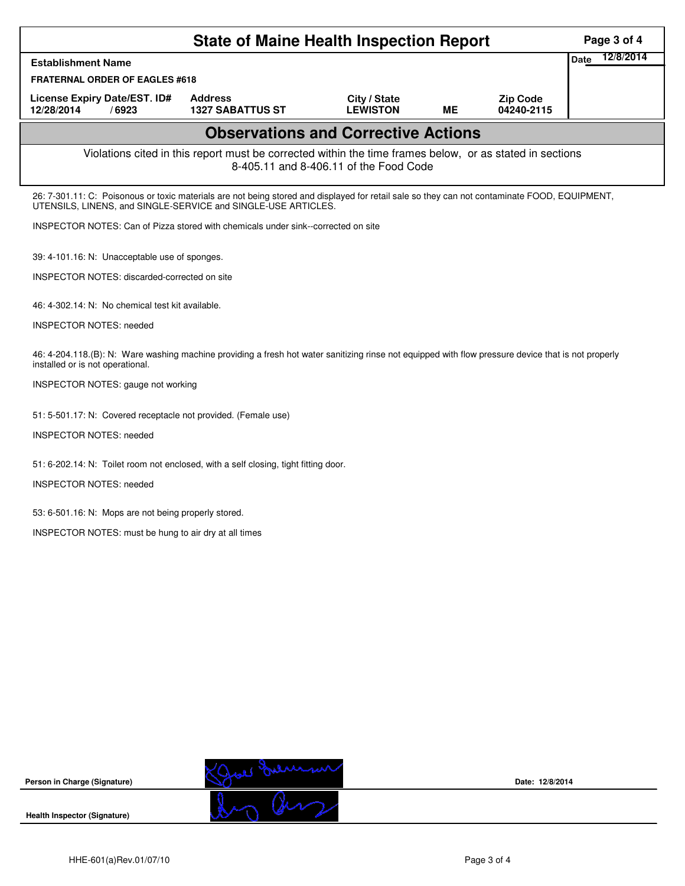| <b>State of Maine Health Inspection Report</b>                                                                                                                                                                 |                                                                                                          |                                        |           |                               |                   |  |
|----------------------------------------------------------------------------------------------------------------------------------------------------------------------------------------------------------------|----------------------------------------------------------------------------------------------------------|----------------------------------------|-----------|-------------------------------|-------------------|--|
| <b>Establishment Name</b>                                                                                                                                                                                      |                                                                                                          |                                        |           |                               | 12/8/2014<br>Date |  |
| <b>FRATERNAL ORDER OF EAGLES #618</b>                                                                                                                                                                          |                                                                                                          |                                        |           |                               |                   |  |
| License Expiry Date/EST. ID#<br>12/28/2014<br>/6923                                                                                                                                                            | <b>Address</b><br><b>1327 SABATTUS ST</b>                                                                | City / State<br><b>LEWISTON</b>        | <b>ME</b> | <b>Zip Code</b><br>04240-2115 |                   |  |
|                                                                                                                                                                                                                | <b>Observations and Corrective Actions</b>                                                               |                                        |           |                               |                   |  |
|                                                                                                                                                                                                                | Violations cited in this report must be corrected within the time frames below, or as stated in sections | 8-405.11 and 8-406.11 of the Food Code |           |                               |                   |  |
| 26: 7-301.11: C: Poisonous or toxic materials are not being stored and displayed for retail sale so they can not contaminate FOOD, EQUIPMENT,<br>UTENSILS, LINENS, and SINGLE-SERVICE and SINGLE-USE ARTICLES. |                                                                                                          |                                        |           |                               |                   |  |
| INSPECTOR NOTES: Can of Pizza stored with chemicals under sink--corrected on site                                                                                                                              |                                                                                                          |                                        |           |                               |                   |  |
| 39: 4-101.16: N: Unacceptable use of sponges.                                                                                                                                                                  |                                                                                                          |                                        |           |                               |                   |  |
| INSPECTOR NOTES: discarded-corrected on site                                                                                                                                                                   |                                                                                                          |                                        |           |                               |                   |  |
| 46: 4-302.14: N: No chemical test kit available.                                                                                                                                                               |                                                                                                          |                                        |           |                               |                   |  |
| <b>INSPECTOR NOTES: needed</b>                                                                                                                                                                                 |                                                                                                          |                                        |           |                               |                   |  |
| 46: 4-204.118.(B): N: Ware washing machine providing a fresh hot water sanitizing rinse not equipped with flow pressure device that is not properly<br>installed or is not operational.                        |                                                                                                          |                                        |           |                               |                   |  |
| INSPECTOR NOTES: gauge not working                                                                                                                                                                             |                                                                                                          |                                        |           |                               |                   |  |
| 51: 5-501.17: N: Covered receptacle not provided. (Female use)                                                                                                                                                 |                                                                                                          |                                        |           |                               |                   |  |
| <b>INSPECTOR NOTES: needed</b>                                                                                                                                                                                 |                                                                                                          |                                        |           |                               |                   |  |
| 51: 6-202.14: N: Toilet room not enclosed, with a self closing, tight fitting door.                                                                                                                            |                                                                                                          |                                        |           |                               |                   |  |
| <b>INSPECTOR NOTES: needed</b>                                                                                                                                                                                 |                                                                                                          |                                        |           |                               |                   |  |
| 53: 6-501.16: N: Mops are not being properly stored.                                                                                                                                                           |                                                                                                          |                                        |           |                               |                   |  |
| INSPECTOR NOTES: must be hung to air dry at all times                                                                                                                                                          |                                                                                                          |                                        |           |                               |                   |  |
|                                                                                                                                                                                                                |                                                                                                          |                                        |           |                               |                   |  |
|                                                                                                                                                                                                                |                                                                                                          |                                        |           |                               |                   |  |
|                                                                                                                                                                                                                |                                                                                                          |                                        |           |                               |                   |  |
|                                                                                                                                                                                                                |                                                                                                          |                                        |           |                               |                   |  |
|                                                                                                                                                                                                                |                                                                                                          |                                        |           |                               |                   |  |
|                                                                                                                                                                                                                |                                                                                                          |                                        |           |                               |                   |  |
|                                                                                                                                                                                                                |                                                                                                          |                                        |           |                               |                   |  |
|                                                                                                                                                                                                                |                                                                                                          |                                        |           |                               |                   |  |